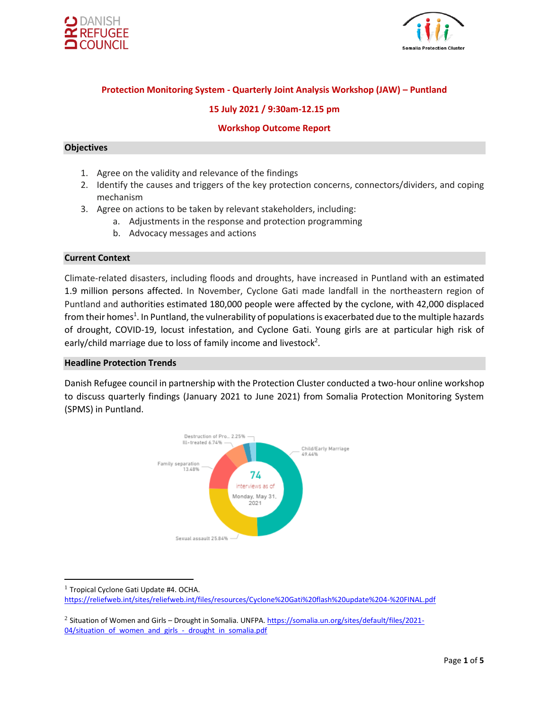



# **Protection Monitoring System - Quarterly Joint Analysis Workshop (JAW) – Puntland**

### **15 July 2021 / 9:30am-12.15 pm**

#### **Workshop Outcome Report**

### **Objectives**

- 1. Agree on the validity and relevance of the findings
- 2. Identify the causes and triggers of the key protection concerns, connectors/dividers, and coping mechanism
- 3. Agree on actions to be taken by relevant stakeholders, including:
	- a. Adjustments in the response and protection programming
	- b. Advocacy messages and actions

#### **Current Context**

Climate-related disasters, including floods and droughts, have increased in Puntland with an estimated 1.9 million persons affected. In November, Cyclone Gati made landfall in the northeastern region of Puntland and authorities estimated 180,000 people were affected by the cyclone, with 42,000 displaced from their homes<sup>1</sup>. In Puntland, the vulnerability of populations is exacerbated due to the multiple hazards of drought, COVID-19, locust infestation, and Cyclone Gati. Young girls are at particular high risk of early/child marriage due to loss of family income and livestock<sup>2</sup>.

#### **Headline Protection Trends**

Danish Refugee council in partnership with the Protection Cluster conducted a two-hour online workshop to discuss quarterly findings (January 2021 to June 2021) from Somalia Protection Monitoring System (SPMS) in Puntland.



 $<sup>1</sup>$  Tropical Cyclone Gati Update #4. OCHA.</sup>

<https://reliefweb.int/sites/reliefweb.int/files/resources/Cyclone%20Gati%20flash%20update%204-%20FINAL.pdf>

<sup>&</sup>lt;sup>2</sup> Situation of Women and Girls – Drought in Somalia. UNFPA[. https://somalia.un.org/sites/default/files/2021-](https://somalia.un.org/sites/default/files/2021-04/situation_of_women_and_girls_-_drought_in_somalia.pdf) [04/situation\\_of\\_women\\_and\\_girls\\_-\\_drought\\_in\\_somalia.pdf](https://somalia.un.org/sites/default/files/2021-04/situation_of_women_and_girls_-_drought_in_somalia.pdf)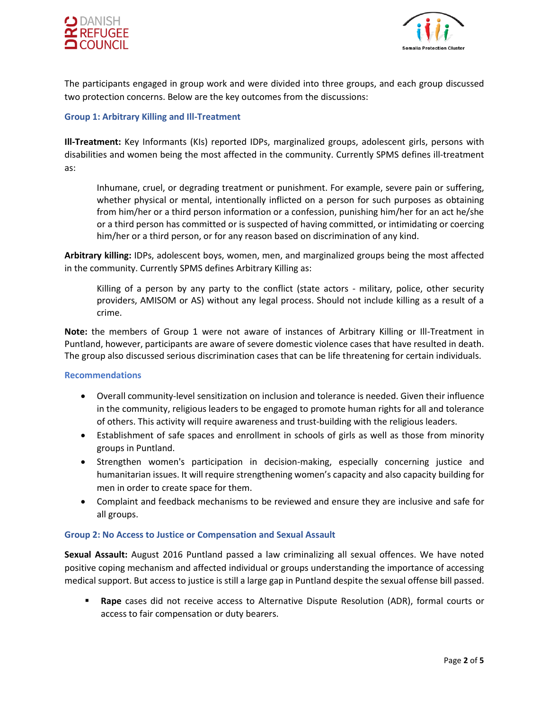



The participants engaged in group work and were divided into three groups, and each group discussed two protection concerns. Below are the key outcomes from the discussions:

### **Group 1: Arbitrary Killing and Ill-Treatment**

**Ill-Treatment:** Key Informants (KIs) reported IDPs, marginalized groups, adolescent girls, persons with disabilities and women being the most affected in the community. Currently SPMS defines ill-treatment as:

Inhumane, cruel, or degrading treatment or punishment. For example, severe pain or suffering, whether physical or mental, intentionally inflicted on a person for such purposes as obtaining from him/her or a third person information or a confession, punishing him/her for an act he/she or a third person has committed or is suspected of having committed, or intimidating or coercing him/her or a third person, or for any reason based on discrimination of any kind.

**Arbitrary killing:** IDPs, adolescent boys, women, men, and marginalized groups being the most affected in the community. Currently SPMS defines Arbitrary Killing as:

Killing of a person by any party to the conflict (state actors - military, police, other security providers, AMISOM or AS) without any legal process. Should not include killing as a result of a crime.

**Note:** the members of Group 1 were not aware of instances of Arbitrary Killing or Ill-Treatment in Puntland, however, participants are aware of severe domestic violence cases that have resulted in death. The group also discussed serious discrimination cases that can be life threatening for certain individuals.

#### **Recommendations**

- Overall community-level sensitization on inclusion and tolerance is needed. Given their influence in the community, religious leaders to be engaged to promote human rights for all and tolerance of others. This activity will require awareness and trust-building with the religious leaders.
- Establishment of safe spaces and enrollment in schools of girls as well as those from minority groups in Puntland.
- Strengthen women's participation in decision-making, especially concerning justice and humanitarian issues. It will require strengthening women's capacity and also capacity building for men in order to create space for them.
- Complaint and feedback mechanisms to be reviewed and ensure they are inclusive and safe for all groups.

## **Group 2: No Access to Justice or Compensation and Sexual Assault**

**Sexual Assault:** August 2016 Puntland passed a law criminalizing all sexual offences. We have noted positive coping mechanism and affected individual or groups understanding the importance of accessing medical support. But access to justice is still a large gap in Puntland despite the sexual offense bill passed.

Rape cases did not receive access to Alternative Dispute Resolution (ADR), formal courts or access to fair compensation or duty bearers.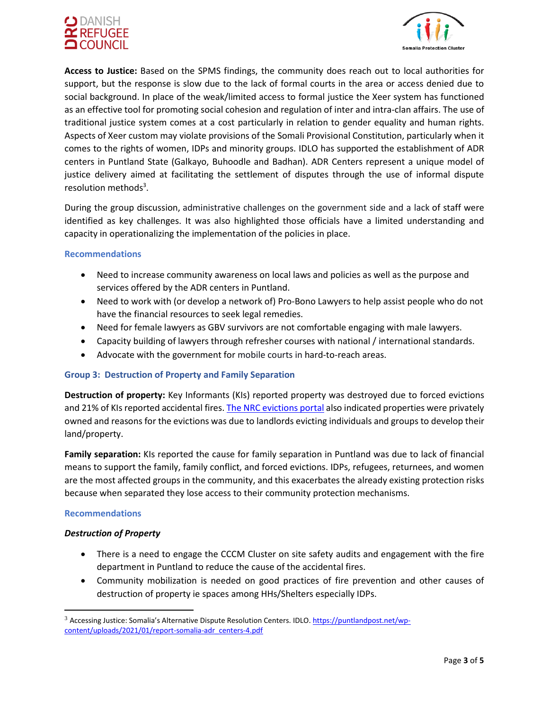



**Access to Justice:** Based on the SPMS findings, the community does reach out to local authorities for support, but the response is slow due to the lack of formal courts in the area or access denied due to social background. In place of the weak/limited access to formal justice the Xeer system has functioned as an effective tool for promoting social cohesion and regulation of inter and intra-clan affairs. The use of traditional justice system comes at a cost particularly in relation to gender equality and human rights. Aspects of Xeer custom may violate provisions of the Somali Provisional Constitution, particularly when it comes to the rights of women, IDPs and minority groups. IDLO has supported the establishment of ADR centers in Puntland State (Galkayo, Buhoodle and Badhan). ADR Centers represent a unique model of justice delivery aimed at facilitating the settlement of disputes through the use of informal dispute resolution methods<sup>3</sup>.

During the group discussion, administrative challenges on the government side and a lack of staff were identified as key challenges. It was also highlighted those officials have a limited understanding and capacity in operationalizing the implementation of the policies in place.

#### **Recommendations**

- Need to increase community awareness on local laws and policies as well as the purpose and services offered by the ADR centers in Puntland.
- Need to work with (or develop a network of) Pro-Bono Lawyers to help assist people who do not have the financial resources to seek legal remedies.
- Need for female lawyers as GBV survivors are not comfortable engaging with male lawyers.
- Capacity building of lawyers through refresher courses with national / international standards.
- Advocate with the government for mobile courts in hard-to-reach areas.

## **Group 3: Destruction of Property and Family Separation**

**Destruction of property:** Key Informants (KIs) reported property was destroyed due to forced evictions and 21% of KIs reported accidental fires[. The NRC evictions portal](https://evictions.nrcsystems.net/evictions.php) also indicated properties were privately owned and reasons for the evictions was due to landlords evicting individuals and groups to develop their land/property.

**Family separation:** KIs reported the cause for family separation in Puntland was due to lack of financial means to support the family, family conflict, and forced evictions. IDPs, refugees, returnees, and women are the most affected groups in the community, and this exacerbates the already existing protection risks because when separated they lose access to their community protection mechanisms.

## **Recommendations**

## *Destruction of Property*

- There is a need to engage the CCCM Cluster on site safety audits and engagement with the fire department in Puntland to reduce the cause of the accidental fires.
- Community mobilization is needed on good practices of fire prevention and other causes of destruction of property ie spaces among HHs/Shelters especially IDPs.

<sup>&</sup>lt;sup>3</sup> Accessing Justice: Somalia's Alternative Dispute Resolution Centers. IDLO[. https://puntlandpost.net/wp](https://puntlandpost.net/wp-content/uploads/2021/01/report-somalia-adr_centers-4.pdf)[content/uploads/2021/01/report-somalia-adr\\_centers-4.pdf](https://puntlandpost.net/wp-content/uploads/2021/01/report-somalia-adr_centers-4.pdf)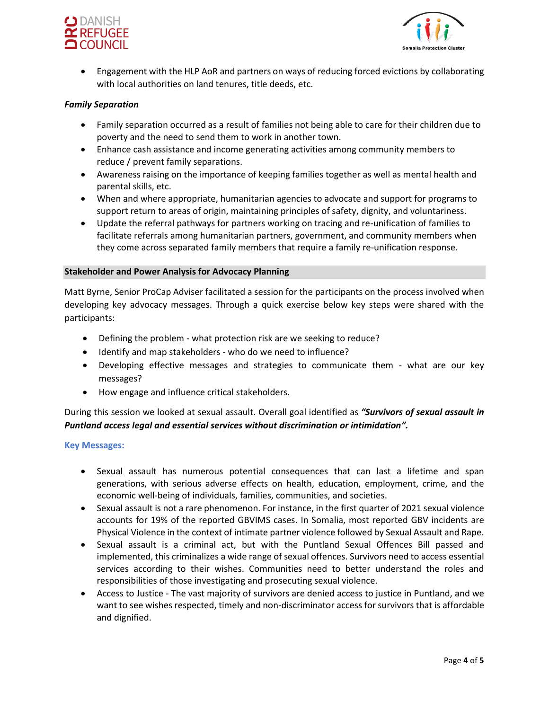



• Engagement with the HLP AoR and partners on ways of reducing forced evictions by collaborating with local authorities on land tenures, title deeds, etc.

#### *Family Separation*

- Family separation occurred as a result of families not being able to care for their children due to poverty and the need to send them to work in another town.
- Enhance cash assistance and income generating activities among community members to reduce / prevent family separations.
- Awareness raising on the importance of keeping families together as well as mental health and parental skills, etc.
- When and where appropriate, humanitarian agencies to advocate and support for programs to support return to areas of origin, maintaining principles of safety, dignity, and voluntariness.
- Update the referral pathways for partners working on tracing and re-unification of families to facilitate referrals among humanitarian partners, government, and community members when they come across separated family members that require a family re-unification response.

#### **Stakeholder and Power Analysis for Advocacy Planning**

Matt Byrne, Senior ProCap Adviser facilitated a session for the participants on the process involved when developing key advocacy messages. Through a quick exercise below key steps were shared with the participants:

- Defining the problem what protection risk are we seeking to reduce?
- Identify and map stakeholders who do we need to influence?
- Developing effective messages and strategies to communicate them what are our key messages?
- How engage and influence critical stakeholders.

# During this session we looked at sexual assault. Overall goal identified as *"Survivors of sexual assault in Puntland access legal and essential services without discrimination or intimidation".*

#### **Key Messages:**

- Sexual assault has numerous potential consequences that can last a lifetime and span generations, with serious adverse effects on health, education, employment, crime, and the economic well-being of individuals, families, communities, and societies.
- Sexual assault is not a rare phenomenon. For instance, in the first quarter of 2021 sexual violence accounts for 19% of the reported GBVIMS cases. In Somalia, most reported GBV incidents are Physical Violence in the context of intimate partner violence followed by Sexual Assault and Rape.
- Sexual assault is a criminal act, but with the Puntland Sexual Offences Bill passed and implemented, this criminalizes a wide range of sexual offences. Survivors need to access essential services according to their wishes. Communities need to better understand the roles and responsibilities of those investigating and prosecuting sexual violence.
- Access to Justice The vast majority of survivors are denied access to justice in Puntland, and we want to see wishes respected, timely and non-discriminator access for survivors that is affordable and dignified.